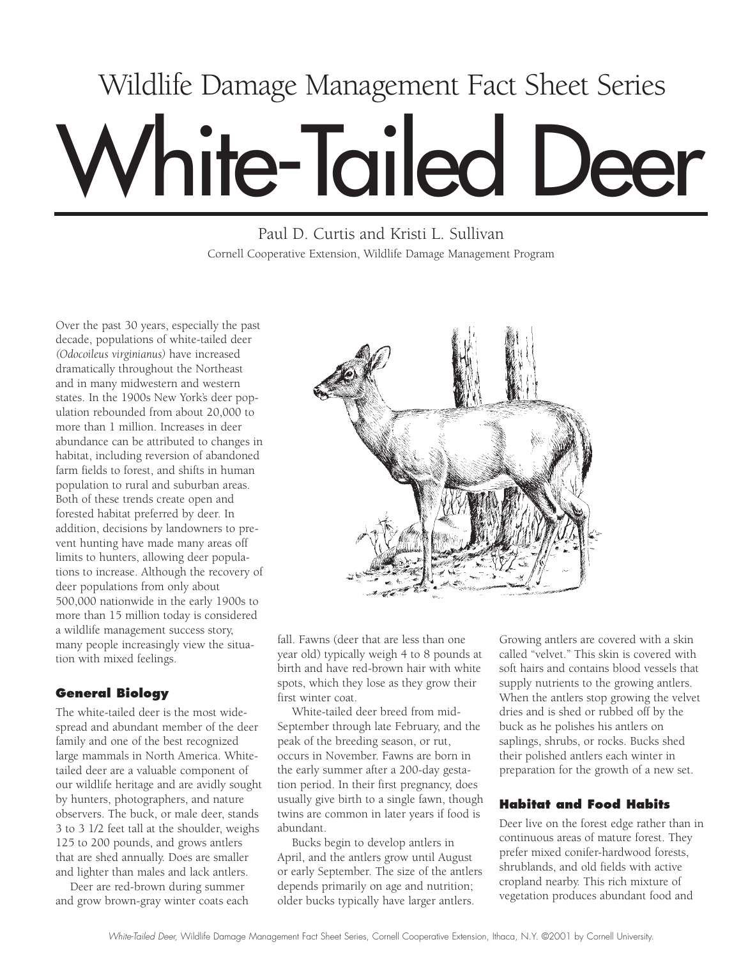# White-Tailed Deer Wildlife Damage Management Fact Sheet Series

Paul D. Curtis and Kristi L. Sullivan Cornell Cooperative Extension, Wildlife Damage Management Program

Over the past 30 years, especially the past decade, populations of white-tailed deer *(Odocoileus virginianus)* have increased dramatically throughout the Northeast and in many midwestern and western states. In the 1900s New York's deer population rebounded from about 20,000 to more than 1 million. Increases in deer abundance can be attributed to changes in habitat, including reversion of abandoned farm fields to forest, and shifts in human population to rural and suburban areas. Both of these trends create open and forested habitat preferred by deer. In addition, decisions by landowners to prevent hunting have made many areas off limits to hunters, allowing deer populations to increase. Although the recovery of deer populations from only about 500,000 nationwide in the early 1900s to more than 15 million today is considered a wildlife management success story, many people increasingly view the situation with mixed feelings.

# **General Biology**

The white-tailed deer is the most widespread and abundant member of the deer family and one of the best recognized large mammals in North America. Whitetailed deer are a valuable component of our wildlife heritage and are avidly sought by hunters, photographers, and nature observers. The buck, or male deer, stands 3 to 3 1/2 feet tall at the shoulder, weighs 125 to 200 pounds, and grows antlers that are shed annually. Does are smaller and lighter than males and lack antlers.

Deer are red-brown during summer and grow brown-gray winter coats each



fall. Fawns (deer that are less than one year old) typically weigh 4 to 8 pounds at birth and have red-brown hair with white spots, which they lose as they grow their first winter coat.

White-tailed deer breed from mid-September through late February, and the peak of the breeding season, or rut, occurs in November. Fawns are born in the early summer after a 200-day gestation period. In their first pregnancy, does usually give birth to a single fawn, though twins are common in later years if food is abundant.

Bucks begin to develop antlers in April, and the antlers grow until August or early September. The size of the antlers depends primarily on age and nutrition; older bucks typically have larger antlers.

Growing antlers are covered with a skin called "velvet." This skin is covered with soft hairs and contains blood vessels that supply nutrients to the growing antlers. When the antlers stop growing the velvet dries and is shed or rubbed off by the buck as he polishes his antlers on saplings, shrubs, or rocks. Bucks shed their polished antlers each winter in preparation for the growth of a new set.

# **Habitat and Food Habits**

Deer live on the forest edge rather than in continuous areas of mature forest. They prefer mixed conifer-hardwood forests, shrublands, and old fields with active cropland nearby. This rich mixture of vegetation produces abundant food and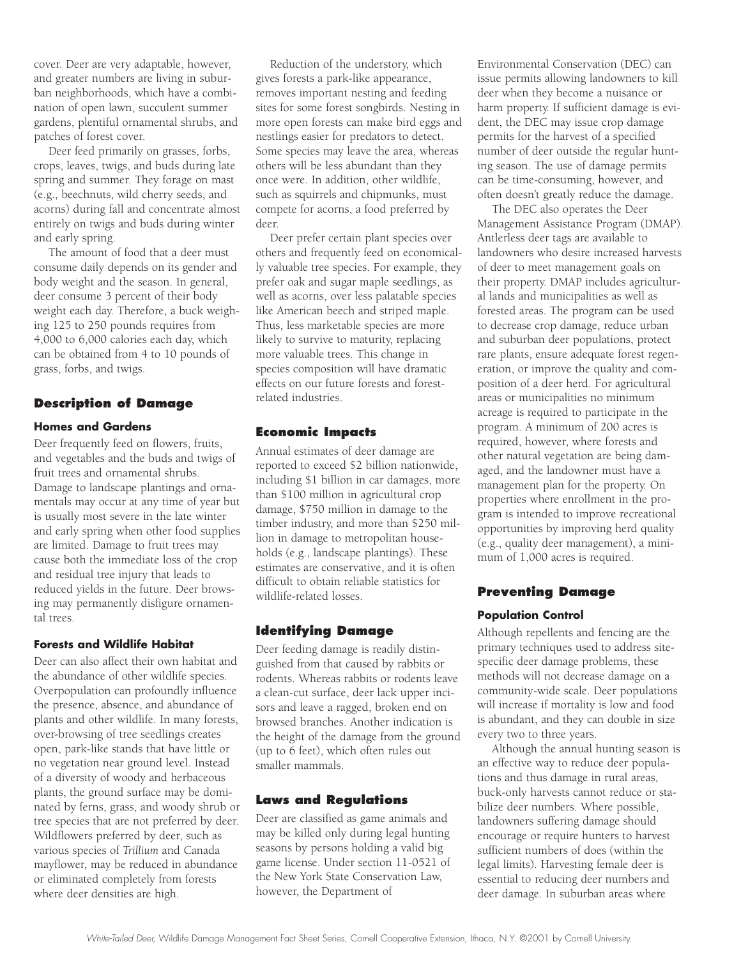cover. Deer are very adaptable, however, and greater numbers are living in suburban neighborhoods, which have a combination of open lawn, succulent summer gardens, plentiful ornamental shrubs, and patches of forest cover.

Deer feed primarily on grasses, forbs, crops, leaves, twigs, and buds during late spring and summer. They forage on mast (e.g., beechnuts, wild cherry seeds, and acorns) during fall and concentrate almost entirely on twigs and buds during winter and early spring.

The amount of food that a deer must consume daily depends on its gender and body weight and the season. In general, deer consume 3 percent of their body weight each day. Therefore, a buck weighing 125 to 250 pounds requires from 4,000 to 6,000 calories each day, which can be obtained from 4 to 10 pounds of grass, forbs, and twigs.

## **Description of Damage**

#### **Homes and Gardens**

Deer frequently feed on flowers, fruits, and vegetables and the buds and twigs of fruit trees and ornamental shrubs. Damage to landscape plantings and ornamentals may occur at any time of year but is usually most severe in the late winter and early spring when other food supplies are limited. Damage to fruit trees may cause both the immediate loss of the crop and residual tree injury that leads to reduced yields in the future. Deer browsing may permanently disfigure ornamental trees.

#### **Forests and Wildlife Habitat**

Deer can also affect their own habitat and the abundance of other wildlife species. Overpopulation can profoundly influence the presence, absence, and abundance of plants and other wildlife. In many forests, over-browsing of tree seedlings creates open, park-like stands that have little or no vegetation near ground level. Instead of a diversity of woody and herbaceous plants, the ground surface may be dominated by ferns, grass, and woody shrub or tree species that are not preferred by deer. Wildflowers preferred by deer, such as various species of *Trillium* and Canada mayflower, may be reduced in abundance or eliminated completely from forests where deer densities are high.

Reduction of the understory, which gives forests a park-like appearance, removes important nesting and feeding sites for some forest songbirds. Nesting in more open forests can make bird eggs and nestlings easier for predators to detect. Some species may leave the area, whereas others will be less abundant than they once were. In addition, other wildlife, such as squirrels and chipmunks, must compete for acorns, a food preferred by deer.

Deer prefer certain plant species over others and frequently feed on economically valuable tree species. For example, they prefer oak and sugar maple seedlings, as well as acorns, over less palatable species like American beech and striped maple. Thus, less marketable species are more likely to survive to maturity, replacing more valuable trees. This change in species composition will have dramatic effects on our future forests and forestrelated industries.

## **Economic Impacts**

Annual estimates of deer damage are reported to exceed \$2 billion nationwide, including \$1 billion in car damages, more than \$100 million in agricultural crop damage, \$750 million in damage to the timber industry, and more than \$250 million in damage to metropolitan households (e.g., landscape plantings). These estimates are conservative, and it is often difficult to obtain reliable statistics for wildlife-related losses.

#### **Identifying Damage**

Deer feeding damage is readily distinguished from that caused by rabbits or rodents. Whereas rabbits or rodents leave a clean-cut surface, deer lack upper incisors and leave a ragged, broken end on browsed branches. Another indication is the height of the damage from the ground (up to 6 feet), which often rules out smaller mammals.

## **Laws and Regulations**

Deer are classified as game animals and may be killed only during legal hunting seasons by persons holding a valid big game license. Under section 11-0521 of the New York State Conservation Law, however, the Department of

Environmental Conservation (DEC) can issue permits allowing landowners to kill deer when they become a nuisance or harm property. If sufficient damage is evident, the DEC may issue crop damage permits for the harvest of a specified number of deer outside the regular hunting season. The use of damage permits can be time-consuming, however, and often doesn't greatly reduce the damage.

The DEC also operates the Deer Management Assistance Program (DMAP). Antlerless deer tags are available to landowners who desire increased harvests of deer to meet management goals on their property. DMAP includes agricultural lands and municipalities as well as forested areas. The program can be used to decrease crop damage, reduce urban and suburban deer populations, protect rare plants, ensure adequate forest regeneration, or improve the quality and composition of a deer herd. For agricultural areas or municipalities no minimum acreage is required to participate in the program. A minimum of 200 acres is required, however, where forests and other natural vegetation are being damaged, and the landowner must have a management plan for the property. On properties where enrollment in the program is intended to improve recreational opportunities by improving herd quality (e.g., quality deer management), a minimum of 1,000 acres is required.

#### **Preventing Damage**

#### **Population Control**

Although repellents and fencing are the primary techniques used to address sitespecific deer damage problems, these methods will not decrease damage on a community-wide scale. Deer populations will increase if mortality is low and food is abundant, and they can double in size every two to three years.

Although the annual hunting season is an effective way to reduce deer populations and thus damage in rural areas, buck-only harvests cannot reduce or stabilize deer numbers. Where possible, landowners suffering damage should encourage or require hunters to harvest sufficient numbers of does (within the legal limits). Harvesting female deer is essential to reducing deer numbers and deer damage. In suburban areas where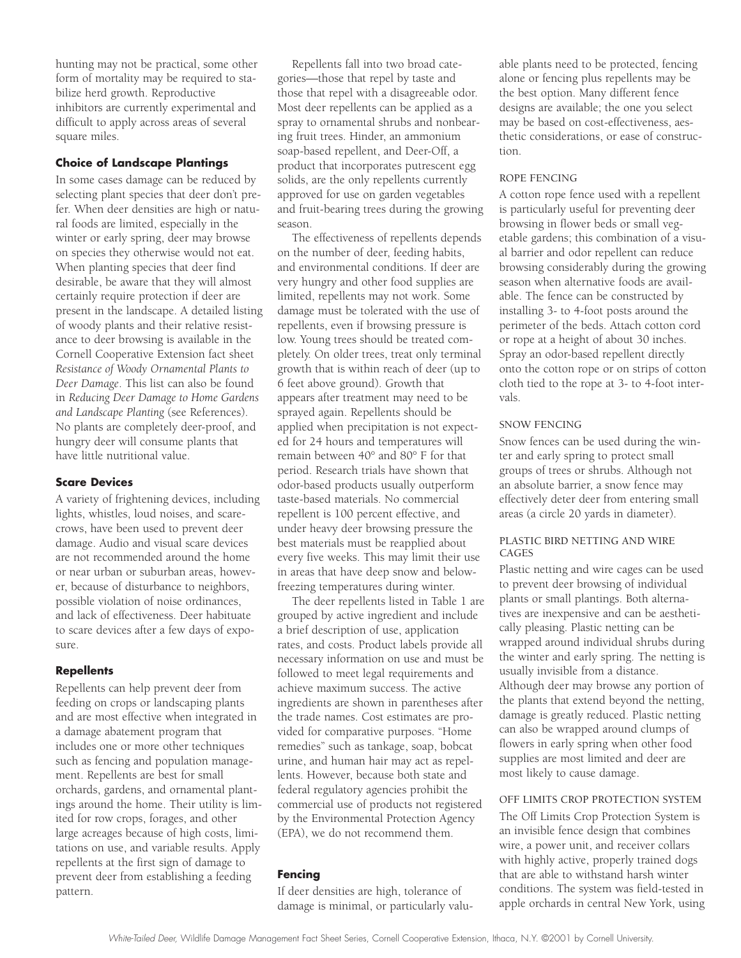hunting may not be practical, some other form of mortality may be required to stabilize herd growth. Reproductive inhibitors are currently experimental and difficult to apply across areas of several square miles.

#### **Choice of Landscape Plantings**

In some cases damage can be reduced by selecting plant species that deer don't prefer. When deer densities are high or natural foods are limited, especially in the winter or early spring, deer may browse on species they otherwise would not eat. When planting species that deer find desirable, be aware that they will almost certainly require protection if deer are present in the landscape. A detailed listing of woody plants and their relative resistance to deer browsing is available in the Cornell Cooperative Extension fact sheet *Resistance of Woody Ornamental Plants to Deer Damage*. This list can also be found in *Reducing Deer Damage to Home Gardens and Landscape Planting* (see References). No plants are completely deer-proof, and hungry deer will consume plants that have little nutritional value.

#### **Scare Devices**

A variety of frightening devices, including lights, whistles, loud noises, and scarecrows, have been used to prevent deer damage. Audio and visual scare devices are not recommended around the home or near urban or suburban areas, however, because of disturbance to neighbors, possible violation of noise ordinances, and lack of effectiveness. Deer habituate to scare devices after a few days of exposure.

#### **Repellents**

Repellents can help prevent deer from feeding on crops or landscaping plants and are most effective when integrated in a damage abatement program that includes one or more other techniques such as fencing and population management. Repellents are best for small orchards, gardens, and ornamental plantings around the home. Their utility is limited for row crops, forages, and other large acreages because of high costs, limitations on use, and variable results. Apply repellents at the first sign of damage to prevent deer from establishing a feeding pattern.

Repellents fall into two broad categories—those that repel by taste and those that repel with a disagreeable odor. Most deer repellents can be applied as a spray to ornamental shrubs and nonbearing fruit trees. Hinder, an ammonium soap-based repellent, and Deer-Off, a product that incorporates putrescent egg solids, are the only repellents currently approved for use on garden vegetables and fruit-bearing trees during the growing season.

The effectiveness of repellents depends on the number of deer, feeding habits, and environmental conditions. If deer are very hungry and other food supplies are limited, repellents may not work. Some damage must be tolerated with the use of repellents, even if browsing pressure is low. Young trees should be treated completely. On older trees, treat only terminal growth that is within reach of deer (up to 6 feet above ground). Growth that appears after treatment may need to be sprayed again. Repellents should be applied when precipitation is not expected for 24 hours and temperatures will remain between 40° and 80° F for that period. Research trials have shown that odor-based products usually outperform taste-based materials. No commercial repellent is 100 percent effective, and under heavy deer browsing pressure the best materials must be reapplied about every five weeks. This may limit their use in areas that have deep snow and belowfreezing temperatures during winter.

The deer repellents listed in Table 1 are grouped by active ingredient and include a brief description of use, application rates, and costs. Product labels provide all necessary information on use and must be followed to meet legal requirements and achieve maximum success. The active ingredients are shown in parentheses after the trade names. Cost estimates are provided for comparative purposes. "Home remedies" such as tankage, soap, bobcat urine, and human hair may act as repellents. However, because both state and federal regulatory agencies prohibit the commercial use of products not registered by the Environmental Protection Agency (EPA), we do not recommend them.

## **Fencing**

If deer densities are high, tolerance of damage is minimal, or particularly valuable plants need to be protected, fencing alone or fencing plus repellents may be the best option. Many different fence designs are available; the one you select may be based on cost-effectiveness, aesthetic considerations, or ease of construction.

#### ROPE FENCING

A cotton rope fence used with a repellent is particularly useful for preventing deer browsing in flower beds or small vegetable gardens; this combination of a visual barrier and odor repellent can reduce browsing considerably during the growing season when alternative foods are available. The fence can be constructed by installing 3- to 4-foot posts around the perimeter of the beds. Attach cotton cord or rope at a height of about 30 inches. Spray an odor-based repellent directly onto the cotton rope or on strips of cotton cloth tied to the rope at 3- to 4-foot intervals.

#### SNOW FENCING

Snow fences can be used during the winter and early spring to protect small groups of trees or shrubs. Although not an absolute barrier, a snow fence may effectively deter deer from entering small areas (a circle 20 yards in diameter).

#### PLASTIC BIRD NETTING AND WIRE CAGES

Plastic netting and wire cages can be used to prevent deer browsing of individual plants or small plantings. Both alternatives are inexpensive and can be aesthetically pleasing. Plastic netting can be wrapped around individual shrubs during the winter and early spring. The netting is usually invisible from a distance. Although deer may browse any portion of the plants that extend beyond the netting, damage is greatly reduced. Plastic netting can also be wrapped around clumps of flowers in early spring when other food supplies are most limited and deer are most likely to cause damage.

#### OFF LIMITS CROP PROTECTION SYSTEM

The Off Limits Crop Protection System is an invisible fence design that combines wire, a power unit, and receiver collars with highly active, properly trained dogs that are able to withstand harsh winter conditions. The system was field-tested in apple orchards in central New York, using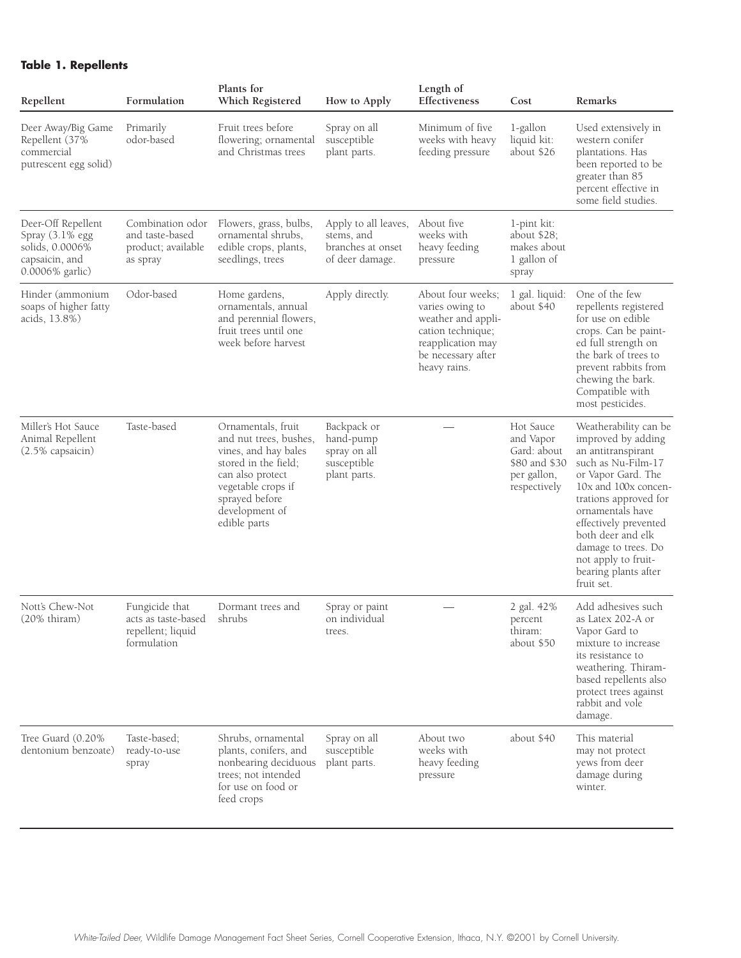## **Table 1. Repellents**

| Repellent                                                                                     | Formulation                                                               | Plants for<br>Which Registered                                                                                                                                                             | How to Apply                                                               | Length of<br>Effectiveness                                                                                                                 | Cost                                                                                  | Remarks                                                                                                                                                                                                                                                                                                              |
|-----------------------------------------------------------------------------------------------|---------------------------------------------------------------------------|--------------------------------------------------------------------------------------------------------------------------------------------------------------------------------------------|----------------------------------------------------------------------------|--------------------------------------------------------------------------------------------------------------------------------------------|---------------------------------------------------------------------------------------|----------------------------------------------------------------------------------------------------------------------------------------------------------------------------------------------------------------------------------------------------------------------------------------------------------------------|
| Deer Away/Big Game<br>Repellent (37%<br>commercial<br>putrescent egg solid)                   | Primarily<br>odor-based                                                   | Fruit trees before<br>flowering; ornamental<br>and Christmas trees                                                                                                                         | Spray on all<br>susceptible<br>plant parts.                                | Minimum of five<br>weeks with heavy<br>feeding pressure                                                                                    | 1-gallon<br>liquid kit:<br>about \$26                                                 | Used extensively in<br>western conifer<br>plantations. Has<br>been reported to be<br>greater than 85<br>percent effective in<br>some field studies.                                                                                                                                                                  |
| Deer-Off Repellent<br>Spray (3.1% egg<br>solids, 0.0006%<br>capsaicin, and<br>0.0006% garlic) | Combination odor<br>and taste-based<br>product; available<br>as spray     | Flowers, grass, bulbs,<br>ornamental shrubs,<br>edible crops, plants,<br>seedlings, trees                                                                                                  | Apply to all leaves,<br>stems, and<br>branches at onset<br>of deer damage. | About five<br>weeks with<br>heavy feeding<br>pressure                                                                                      | 1-pint kit:<br>about \$28;<br>makes about<br>1 gallon of<br>spray                     |                                                                                                                                                                                                                                                                                                                      |
| Hinder (ammonium<br>soaps of higher fatty<br>acids, 13.8%)                                    | Odor-based                                                                | Home gardens,<br>ornamentals, annual<br>and perennial flowers,<br>fruit trees until one<br>week before harvest                                                                             | Apply directly.                                                            | About four weeks;<br>varies owing to<br>weather and appli-<br>cation technique;<br>reapplication may<br>be necessary after<br>heavy rains. | 1 gal. liquid:<br>about \$40                                                          | One of the few<br>repellents registered<br>for use on edible<br>crops. Can be paint-<br>ed full strength on<br>the bark of trees to<br>prevent rabbits from<br>chewing the bark.<br>Compatible with<br>most pesticides.                                                                                              |
| Miller's Hot Sauce<br>Animal Repellent<br>(2.5% capsaicin)                                    | Taste-based                                                               | Ornamentals, fruit<br>and nut trees, bushes,<br>vines, and hay bales<br>stored in the field;<br>can also protect<br>vegetable crops if<br>sprayed before<br>development of<br>edible parts | Backpack or<br>hand-pump<br>spray on all<br>susceptible<br>plant parts.    |                                                                                                                                            | Hot Sauce<br>and Vapor<br>Gard: about<br>\$80 and \$30<br>per gallon,<br>respectively | Weatherability can be<br>improved by adding<br>an antitranspirant<br>such as Nu-Film-17<br>or Vapor Gard. The<br>10x and 100x concen-<br>trations approved for<br>ornamentals have<br>effectively prevented<br>both deer and elk<br>damage to trees. Do<br>not apply to fruit-<br>bearing plants after<br>fruit set. |
| Nott's Chew-Not<br>$(20\%$ thiram)                                                            | Fungicide that<br>acts as taste-based<br>repellent; liquid<br>formulation | Dormant trees and<br>shrubs                                                                                                                                                                | Spray or paint<br>on individual<br>trees.                                  |                                                                                                                                            | 2 gal. 42%<br>percent<br>thiram:<br>about \$50                                        | Add adhesives such<br>as Latex 202-A or<br>Vapor Gard to<br>mixture to increase<br>its resistance to<br>weathering. Thiram-<br>based repellents also<br>protect trees against<br>rabbit and vole<br>damage.                                                                                                          |
| Tree Guard (0.20%)<br>dentonium benzoate)                                                     | Taste-based:<br>ready-to-use<br>spray                                     | Shrubs, ornamental<br>plants, conifers, and<br>nonbearing deciduous<br>trees; not intended<br>for use on food or<br>feed crops                                                             | Spray on all<br>susceptible<br>plant parts.                                | About two<br>weeks with<br>heavy feeding<br>pressure                                                                                       | about \$40                                                                            | This material<br>may not protect<br>yews from deer<br>damage during<br>winter.                                                                                                                                                                                                                                       |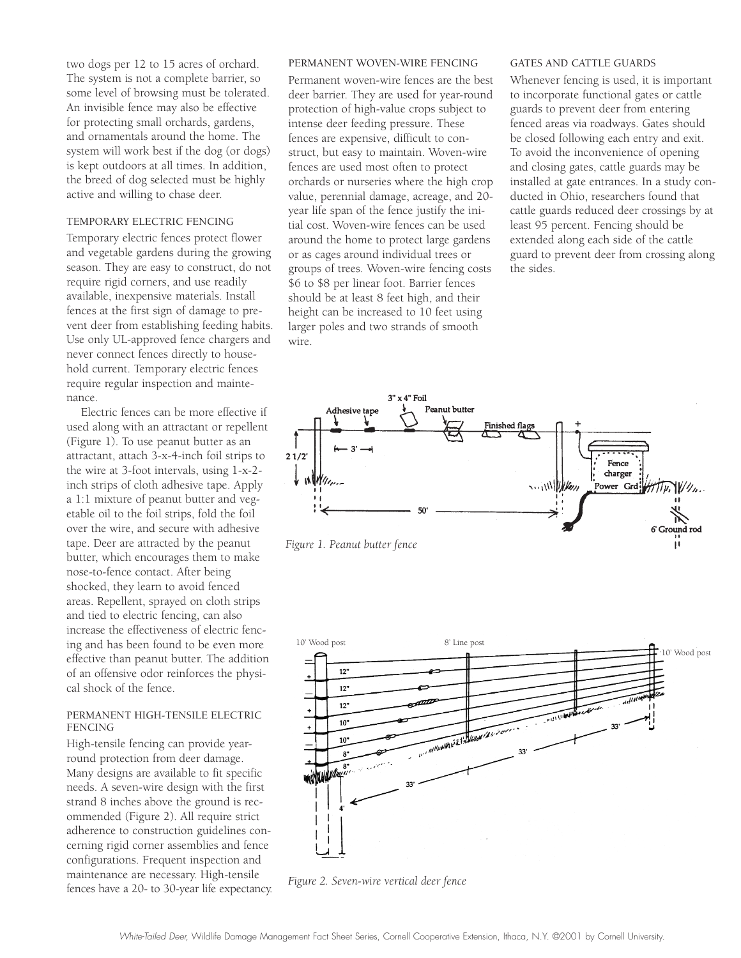two dogs per 12 to 15 acres of orchard. The system is not a complete barrier, so some level of browsing must be tolerated. An invisible fence may also be effective for protecting small orchards, gardens, and ornamentals around the home. The system will work best if the dog (or dogs) is kept outdoors at all times. In addition, the breed of dog selected must be highly active and willing to chase deer.

#### TEMPORARY ELECTRIC FENCING

Temporary electric fences protect flower and vegetable gardens during the growing season. They are easy to construct, do not require rigid corners, and use readily available, inexpensive materials. Install fences at the first sign of damage to prevent deer from establishing feeding habits. Use only UL-approved fence chargers and never connect fences directly to household current. Temporary electric fences require regular inspection and maintenance.

Electric fences can be more effective if used along with an attractant or repellent (Figure 1). To use peanut butter as an attractant, attach 3-x-4-inch foil strips to the wire at 3-foot intervals, using 1-x-2 inch strips of cloth adhesive tape. Apply a 1:1 mixture of peanut butter and vegetable oil to the foil strips, fold the foil over the wire, and secure with adhesive tape. Deer are attracted by the peanut butter, which encourages them to make nose-to-fence contact. After being shocked, they learn to avoid fenced areas. Repellent, sprayed on cloth strips and tied to electric fencing, can also increase the effectiveness of electric fencing and has been found to be even more effective than peanut butter. The addition of an offensive odor reinforces the physical shock of the fence.

#### PERMANENT HIGH-TENSILE ELECTRIC FENCING

High-tensile fencing can provide yearround protection from deer damage. Many designs are available to fit specific needs. A seven-wire design with the first strand 8 inches above the ground is recommended (Figure 2). All require strict adherence to construction guidelines concerning rigid corner assemblies and fence configurations. Frequent inspection and maintenance are necessary. High-tensile fences have a 20- to 30-year life expectancy.

#### PERMANENT WOVEN-WIRE FENCING

Permanent woven-wire fences are the best deer barrier. They are used for year-round protection of high-value crops subject to intense deer feeding pressure. These fences are expensive, difficult to construct, but easy to maintain. Woven-wire fences are used most often to protect orchards or nurseries where the high crop value, perennial damage, acreage, and 20 year life span of the fence justify the initial cost. Woven-wire fences can be used around the home to protect large gardens or as cages around individual trees or groups of trees. Woven-wire fencing costs \$6 to \$8 per linear foot. Barrier fences should be at least 8 feet high, and their height can be increased to 10 feet using larger poles and two strands of smooth wire.

#### GATES AND CATTLE GUARDS

Whenever fencing is used, it is important to incorporate functional gates or cattle guards to prevent deer from entering fenced areas via roadways. Gates should be closed following each entry and exit. To avoid the inconvenience of opening and closing gates, cattle guards may be installed at gate entrances. In a study conducted in Ohio, researchers found that cattle guards reduced deer crossings by at least 95 percent. Fencing should be extended along each side of the cattle guard to prevent deer from crossing along the sides.